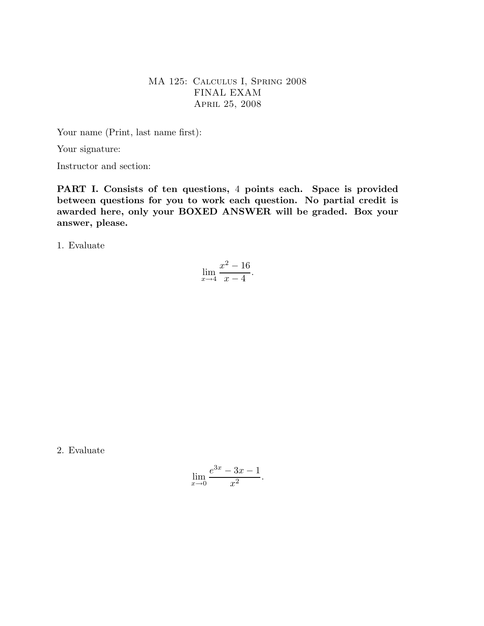## MA 125: Calculus I, Spring 2008 FINAL EXAM April 25, 2008

Your name (Print, last name first):

Your signature:

Instructor and section:

PART I. Consists of ten questions, 4 points each. Space is provided between questions for you to work each question. No partial credit is awarded here, only your BOXED ANSWER will be graded. Box your answer, please.

1. Evaluate

$$
\lim_{x \to 4} \frac{x^2 - 16}{x - 4}.
$$

2. Evaluate

$$
\lim_{x \to 0} \frac{e^{3x} - 3x - 1}{x^2}.
$$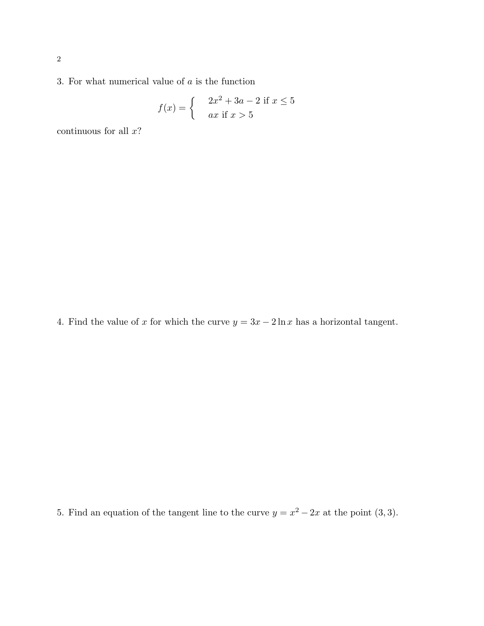3. For what numerical value of  $a$  is the function

$$
f(x) = \begin{cases} 2x^2 + 3a - 2 \text{ if } x \le 5\\ ax \text{ if } x > 5 \end{cases}
$$

continuous for all  $x$ ?

4. Find the value of x for which the curve  $y = 3x - 2\ln x$  has a horizontal tangent.

5. Find an equation of the tangent line to the curve  $y = x^2 - 2x$  at the point  $(3, 3)$ .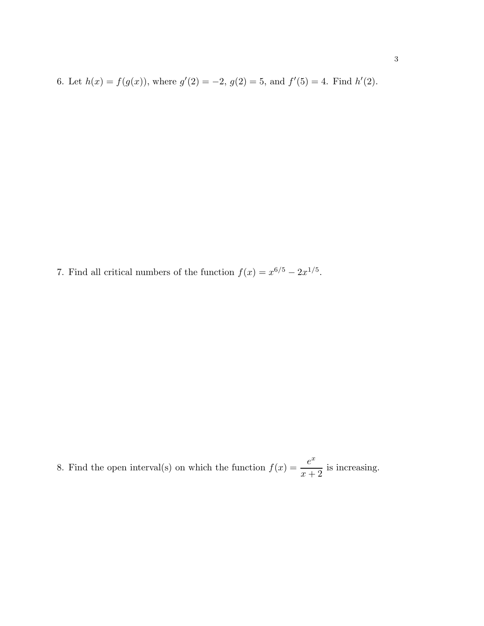6. Let  $h(x) = f(g(x))$ , where  $g'(2) = -2$ ,  $g(2) = 5$ , and  $f'(5) = 4$ . Find  $h'(2)$ .

7. Find all critical numbers of the function  $f(x) = x^{6/5} - 2x^{1/5}$ .

8. Find the open interval(s) on which the function  $f(x) = \frac{e^x}{x}$  $x + 2$ is increasing.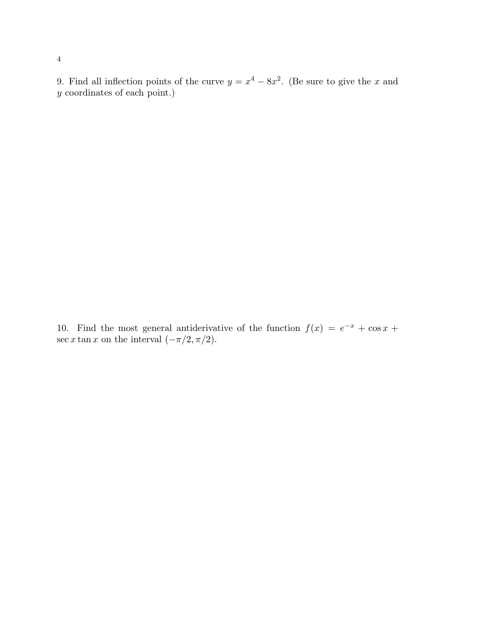9. Find all inflection points of the curve  $y = x^4 - 8x^2$ . (Be sure to give the x and y coordinates of each point.)

10. Find the most general antiderivative of the function  $f(x) = e^{-x} + \cos x +$ sec x tan x on the interval  $(-\pi/2, \pi/2)$ .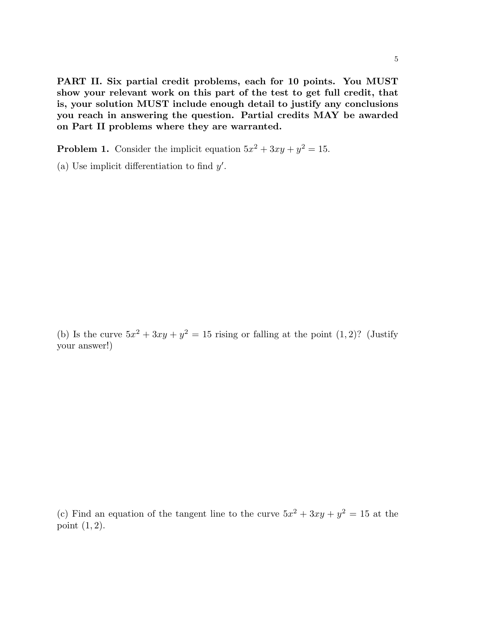PART II. Six partial credit problems, each for 10 points. You MUST show your relevant work on this part of the test to get full credit, that is, your solution MUST include enough detail to justify any conclusions you reach in answering the question. Partial credits MAY be awarded on Part II problems where they are warranted.

**Problem 1.** Consider the implicit equation  $5x^2 + 3xy + y^2 = 15$ .

(a) Use implicit differentiation to find  $y'$ .

(b) Is the curve  $5x^2 + 3xy + y^2 = 15$  rising or falling at the point  $(1, 2)$ ? (Justify your answer!)

(c) Find an equation of the tangent line to the curve  $5x^2 + 3xy + y^2 = 15$  at the point  $(1, 2)$ .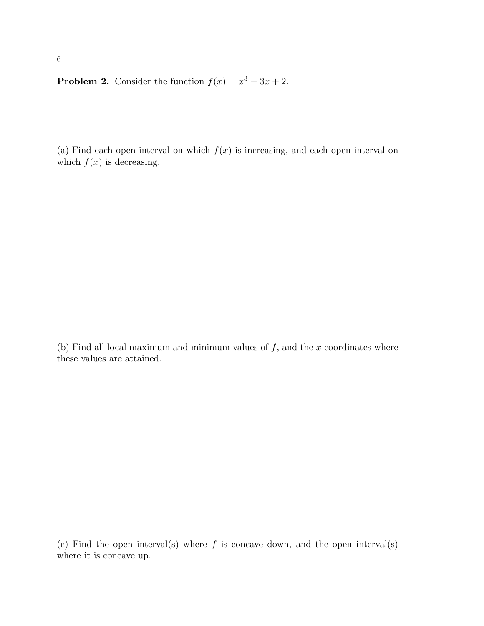**Problem 2.** Consider the function  $f(x) = x^3 - 3x + 2$ .

(a) Find each open interval on which  $f(x)$  is increasing, and each open interval on which  $f(x)$  is decreasing.

(b) Find all local maximum and minimum values of  $f$ , and the  $x$  coordinates where these values are attained.

(c) Find the open interval(s) where  $f$  is concave down, and the open interval(s) where it is concave up.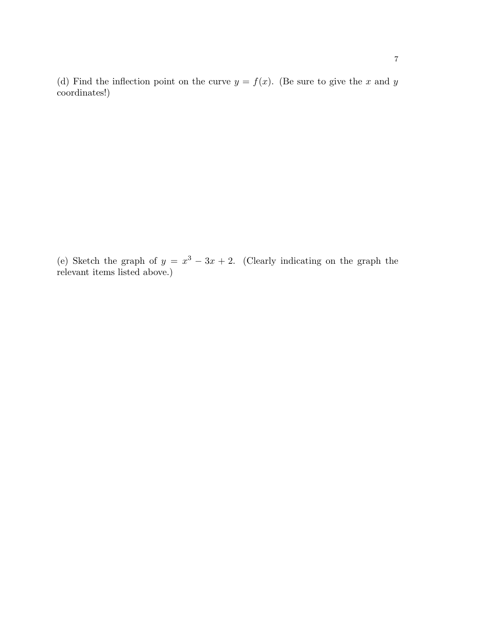(d) Find the inflection point on the curve  $y = f(x)$ . (Be sure to give the x and y coordinates!)

(e) Sketch the graph of  $y = x^3 - 3x + 2$ . (Clearly indicating on the graph the relevant items listed above.)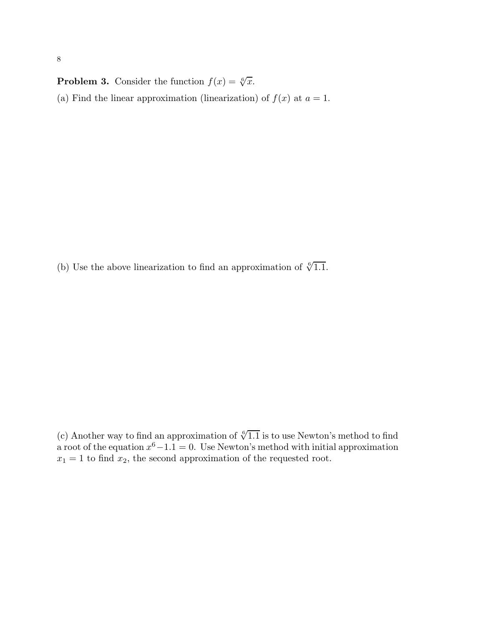**Problem 3.** Consider the function  $f(x) = \sqrt[6]{x}$ . (a) Find the linear approximation (linearization) of  $f(x)$  at  $a = 1$ .

(b) Use the above linearization to find an approximation of  $\sqrt[6]{1.1}$ .

(c) Another way to find an approximation of  $\sqrt[6]{1.1}$  is to use Newton's method to find a root of the equation  $x^6 - 1.1 = 0$ . Use Newton's method with initial approximation  $x_1 = 1$  to find  $x_2$ , the second approximation of the requested root.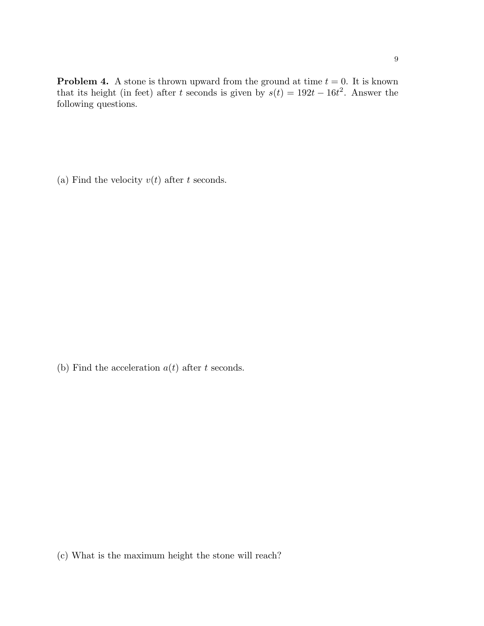**Problem 4.** A stone is thrown upward from the ground at time  $t = 0$ . It is known that its height (in feet) after t seconds is given by  $s(t) = 192t - 16t^2$ . Answer the following questions.

(a) Find the velocity  $v(t)$  after t seconds.

(b) Find the acceleration  $a(t)$  after t seconds.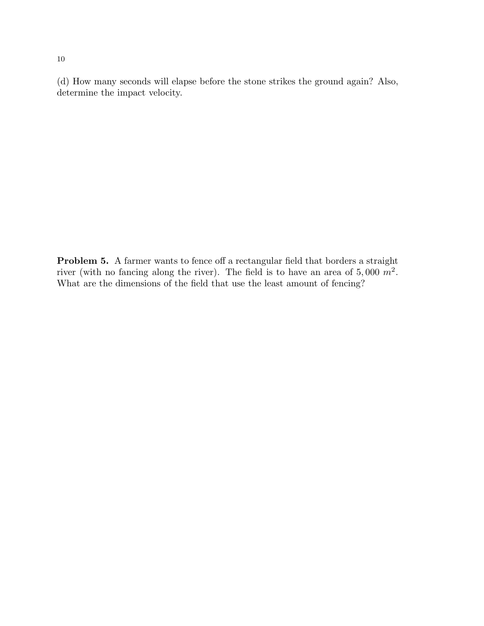(d) How many seconds will elapse before the stone strikes the ground again? Also, determine the impact velocity.

Problem 5. A farmer wants to fence off a rectangular field that borders a straight river (with no fancing along the river). The field is to have an area of 5,000  $m^2$ . What are the dimensions of the field that use the least amount of fencing?